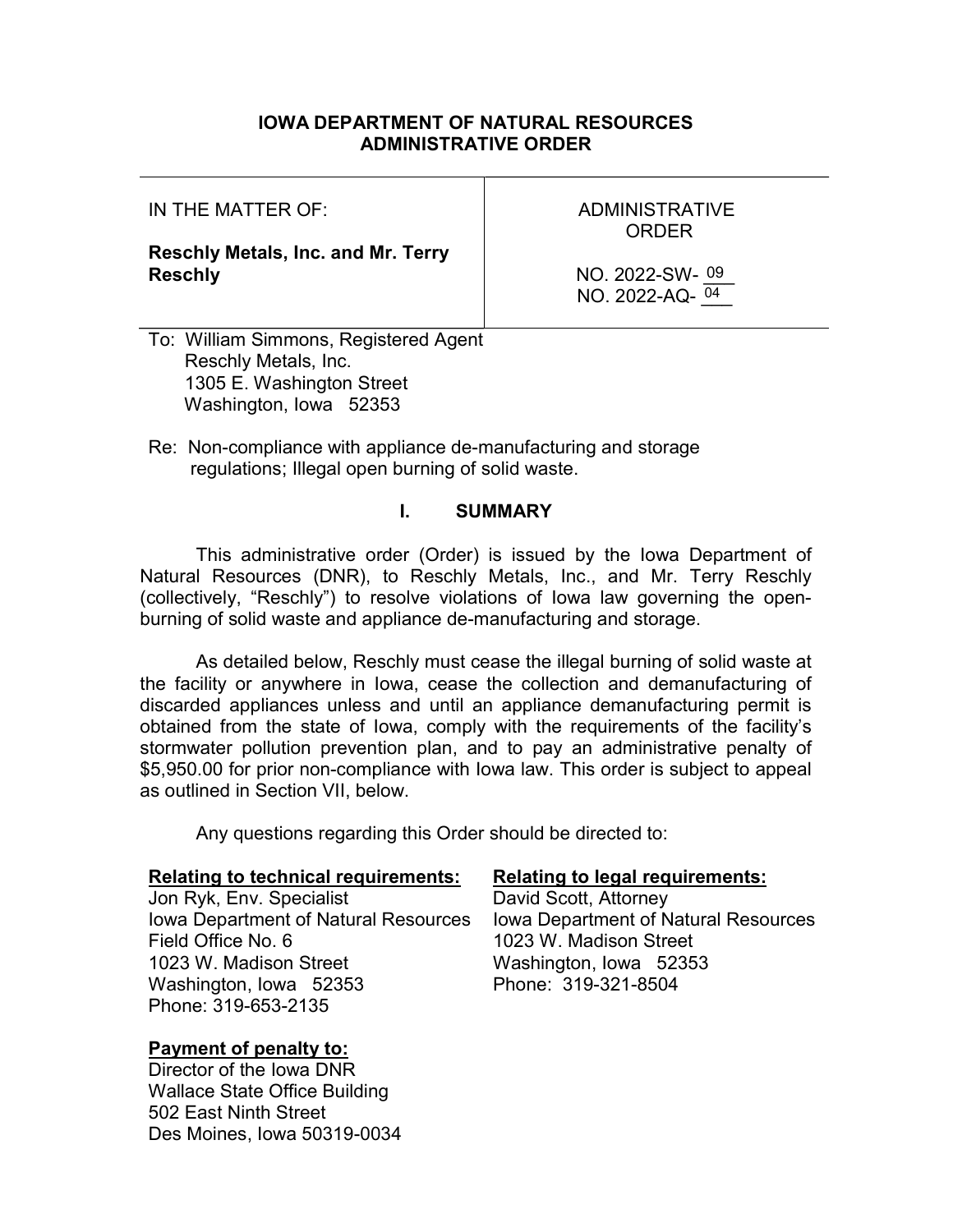## IOWA DEPARTMENT OF NATURAL RESOURCES ADMINISTRATIVE ORDER

IN THE MATTER OF:

Reschly Metals, Inc. and Mr. Terry Reschly

ADMINISTRATIVE ORDER

NO. 2022-SW- 09 NO. 2022-AQ- $\frac{04}{ }$ 

To: William Simmons, Registered Agent Reschly Metals, Inc. 1305 E. Washington Street Washington, Iowa 52353

Re: Non-compliance with appliance de-manufacturing and storage regulations; Illegal open burning of solid waste.

## I. SUMMARY

This administrative order (Order) is issued by the Iowa Department of Natural Resources (DNR), to Reschly Metals, Inc., and Mr. Terry Reschly (collectively, "Reschly") to resolve violations of Iowa law governing the openburning of solid waste and appliance de-manufacturing and storage.

As detailed below, Reschly must cease the illegal burning of solid waste at the facility or anywhere in Iowa, cease the collection and demanufacturing of discarded appliances unless and until an appliance demanufacturing permit is obtained from the state of Iowa, comply with the requirements of the facility's stormwater pollution prevention plan, and to pay an administrative penalty of \$5,950.00 for prior non-compliance with Iowa law. This order is subject to appeal as outlined in Section VII, below.

Any questions regarding this Order should be directed to:

#### Relating to technical requirements: Relating to legal requirements:

Jon Ryk, Env. Specialist **David Scott**, Attorney Iowa Department of Natural Resources Field Office No. 6 1023 W. Madison Street Washington, Iowa 52353 Phone: 319-653-2135

## Payment of penalty to:

Director of the Iowa DNR Wallace State Office Building 502 East Ninth Street Des Moines, Iowa 50319-0034

Iowa Department of Natural Resources 1023 W. Madison Street Washington, Iowa 52353 Phone: 319-321-8504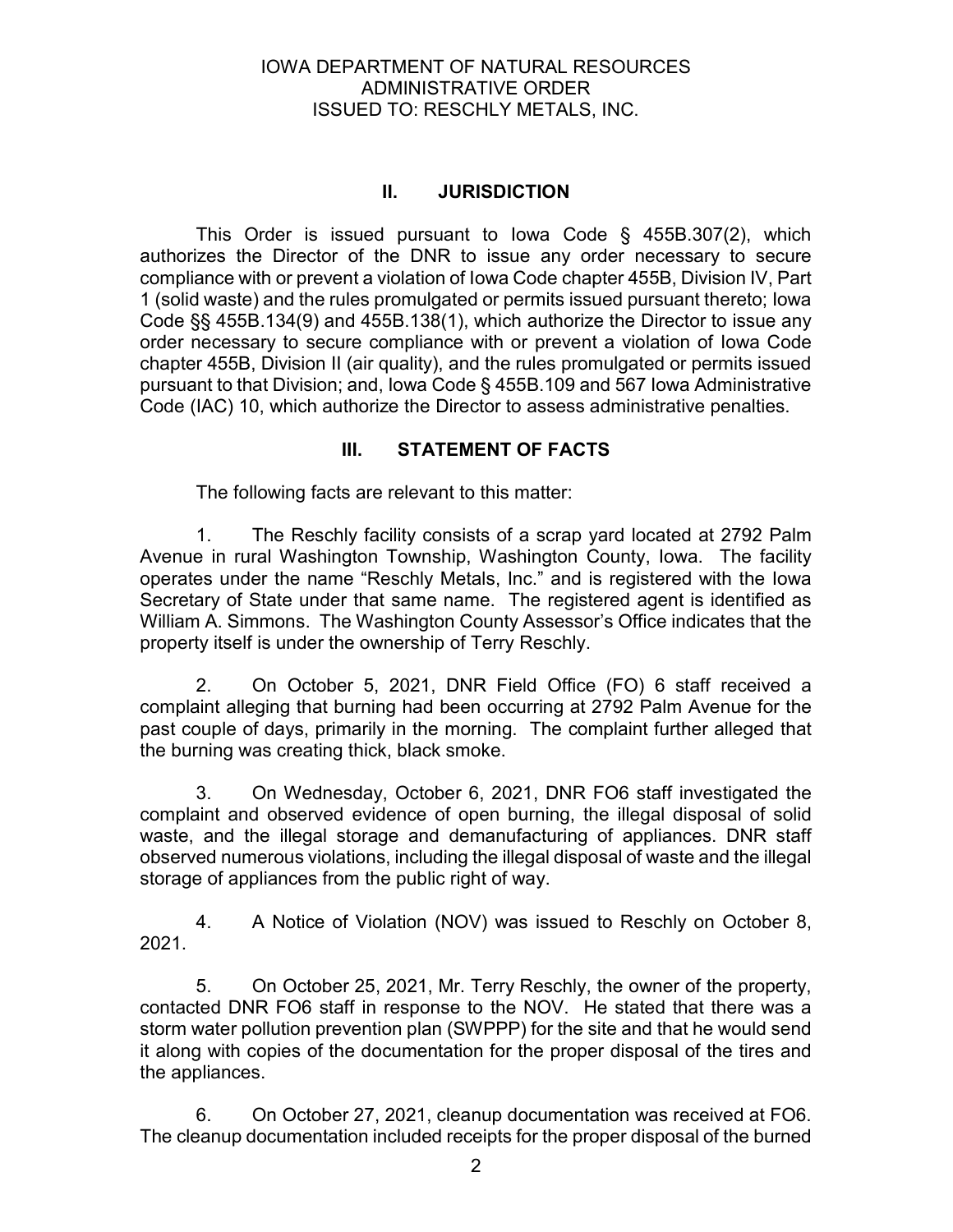## II. JURISDICTION

This Order is issued pursuant to Iowa Code § 455B.307(2), which authorizes the Director of the DNR to issue any order necessary to secure compliance with or prevent a violation of Iowa Code chapter 455B, Division IV, Part 1 (solid waste) and the rules promulgated or permits issued pursuant thereto; Iowa Code §§ 455B.134(9) and 455B.138(1), which authorize the Director to issue any order necessary to secure compliance with or prevent a violation of Iowa Code chapter 455B, Division II (air quality), and the rules promulgated or permits issued pursuant to that Division; and, Iowa Code § 455B.109 and 567 Iowa Administrative Code (IAC) 10, which authorize the Director to assess administrative penalties.

## III. STATEMENT OF FACTS

The following facts are relevant to this matter:

1. The Reschly facility consists of a scrap yard located at 2792 Palm Avenue in rural Washington Township, Washington County, Iowa. The facility operates under the name "Reschly Metals, Inc." and is registered with the Iowa Secretary of State under that same name. The registered agent is identified as William A. Simmons. The Washington County Assessor's Office indicates that the property itself is under the ownership of Terry Reschly.

2. On October 5, 2021, DNR Field Office (FO) 6 staff received a complaint alleging that burning had been occurring at 2792 Palm Avenue for the past couple of days, primarily in the morning. The complaint further alleged that the burning was creating thick, black smoke.

3. On Wednesday, October 6, 2021, DNR FO6 staff investigated the complaint and observed evidence of open burning, the illegal disposal of solid waste, and the illegal storage and demanufacturing of appliances. DNR staff observed numerous violations, including the illegal disposal of waste and the illegal storage of appliances from the public right of way.

4. A Notice of Violation (NOV) was issued to Reschly on October 8, 2021.

5. On October 25, 2021, Mr. Terry Reschly, the owner of the property, contacted DNR FO6 staff in response to the NOV. He stated that there was a storm water pollution prevention plan (SWPPP) for the site and that he would send it along with copies of the documentation for the proper disposal of the tires and the appliances.

6. On October 27, 2021, cleanup documentation was received at FO6. The cleanup documentation included receipts for the proper disposal of the burned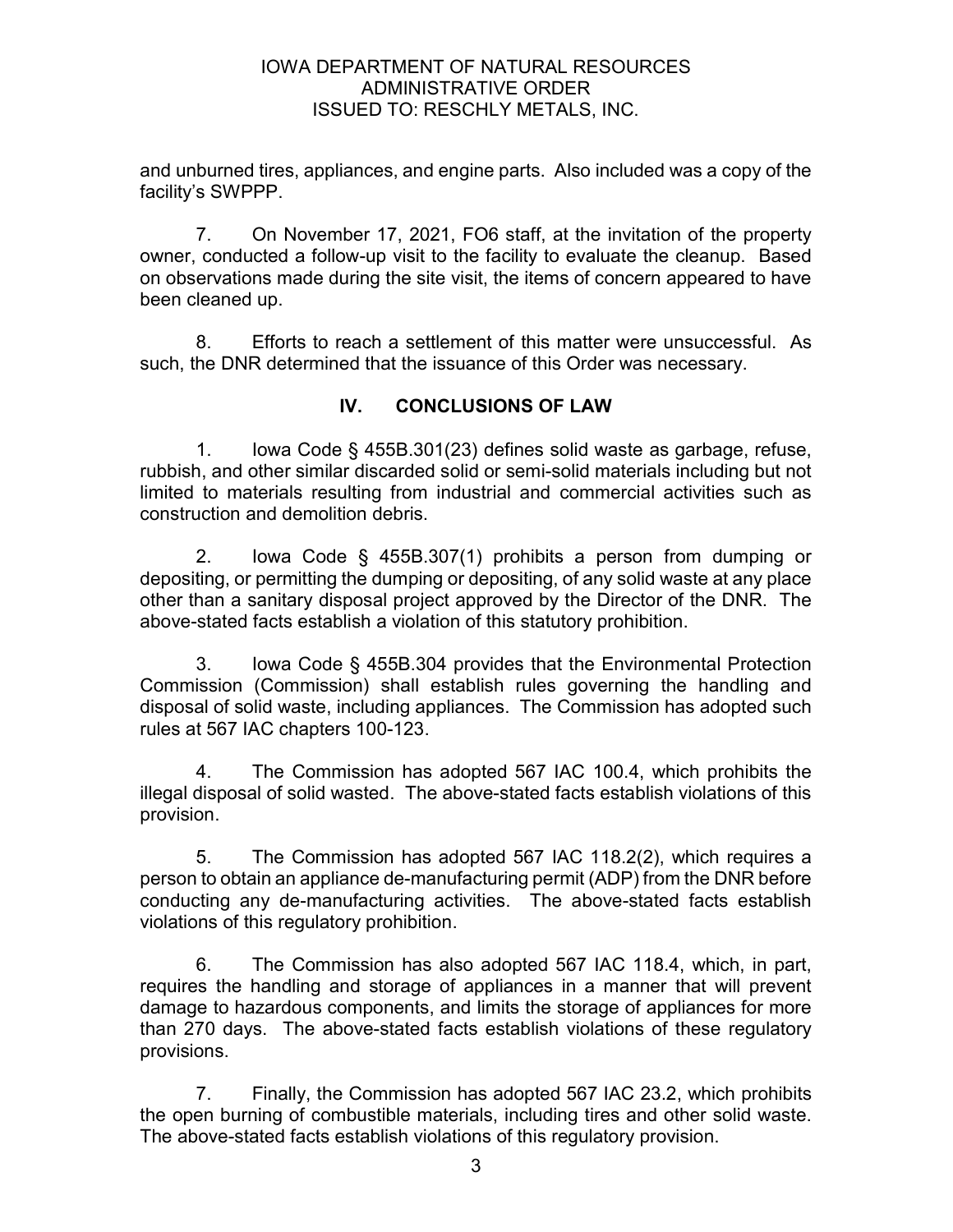and unburned tires, appliances, and engine parts. Also included was a copy of the facility's SWPPP.

7. On November 17, 2021, FO6 staff, at the invitation of the property owner, conducted a follow-up visit to the facility to evaluate the cleanup. Based on observations made during the site visit, the items of concern appeared to have been cleaned up.

8. Efforts to reach a settlement of this matter were unsuccessful. As such, the DNR determined that the issuance of this Order was necessary.

# IV. CONCLUSIONS OF LAW

1. Iowa Code § 455B.301(23) defines solid waste as garbage, refuse, rubbish, and other similar discarded solid or semi-solid materials including but not limited to materials resulting from industrial and commercial activities such as construction and demolition debris.

2. Iowa Code § 455B.307(1) prohibits a person from dumping or depositing, or permitting the dumping or depositing, of any solid waste at any place other than a sanitary disposal project approved by the Director of the DNR. The above-stated facts establish a violation of this statutory prohibition.

3. Iowa Code § 455B.304 provides that the Environmental Protection Commission (Commission) shall establish rules governing the handling and disposal of solid waste, including appliances. The Commission has adopted such rules at 567 IAC chapters 100-123.

4. The Commission has adopted 567 IAC 100.4, which prohibits the illegal disposal of solid wasted. The above-stated facts establish violations of this provision.

5. The Commission has adopted 567 IAC 118.2(2), which requires a person to obtain an appliance de-manufacturing permit (ADP) from the DNR before conducting any de-manufacturing activities. The above-stated facts establish violations of this regulatory prohibition.

6. The Commission has also adopted 567 IAC 118.4, which, in part, requires the handling and storage of appliances in a manner that will prevent damage to hazardous components, and limits the storage of appliances for more than 270 days. The above-stated facts establish violations of these regulatory provisions.

7. Finally, the Commission has adopted 567 IAC 23.2, which prohibits the open burning of combustible materials, including tires and other solid waste. The above-stated facts establish violations of this regulatory provision.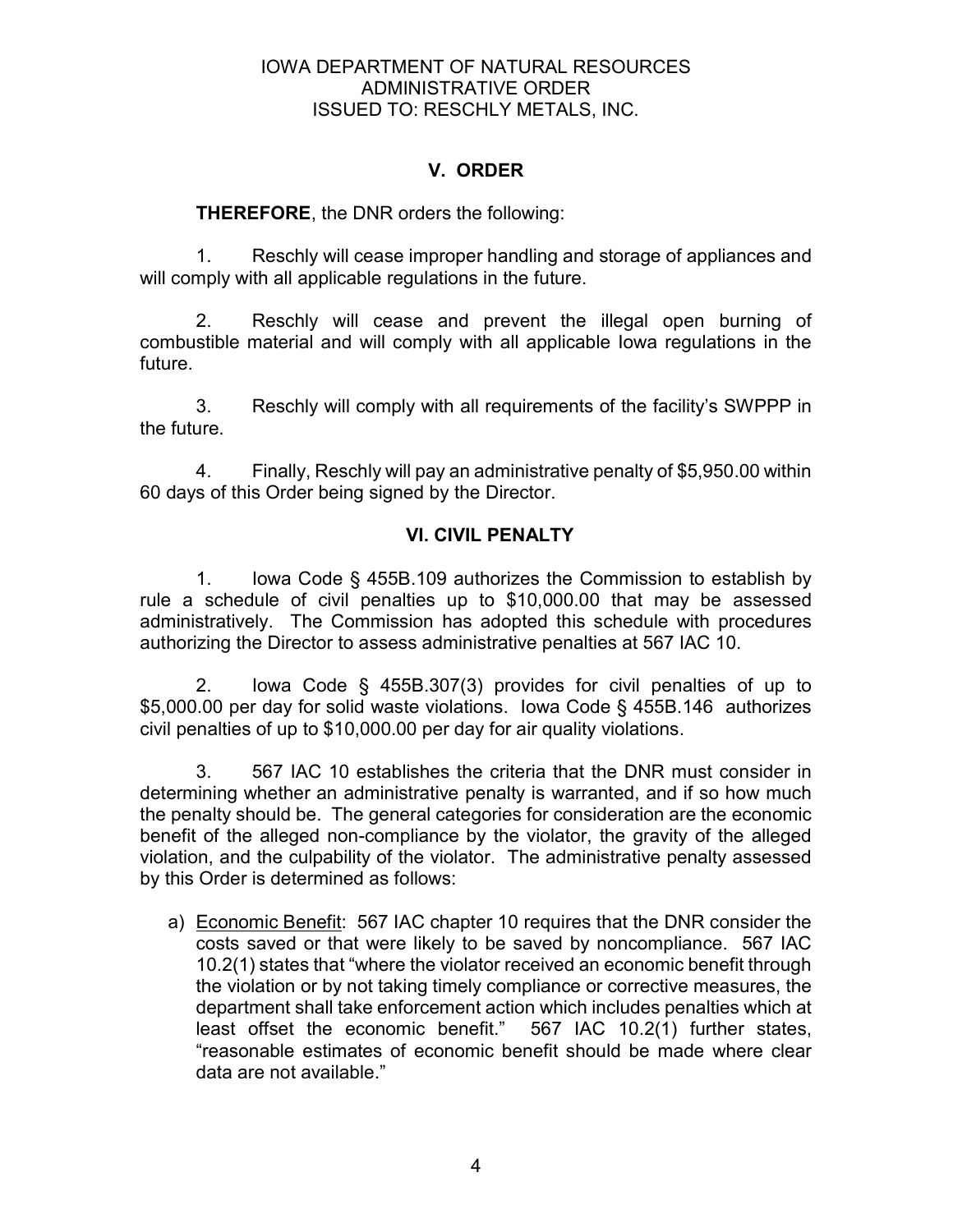# V. ORDER

## THEREFORE, the DNR orders the following:

1. Reschly will cease improper handling and storage of appliances and will comply with all applicable regulations in the future.

2. Reschly will cease and prevent the illegal open burning of combustible material and will comply with all applicable Iowa regulations in the future.

3. Reschly will comply with all requirements of the facility's SWPPP in the future.

4. Finally, Reschly will pay an administrative penalty of \$5,950.00 within 60 days of this Order being signed by the Director.

# VI. CIVIL PENALTY

1. Iowa Code § 455B.109 authorizes the Commission to establish by rule a schedule of civil penalties up to \$10,000.00 that may be assessed administratively. The Commission has adopted this schedule with procedures authorizing the Director to assess administrative penalties at 567 IAC 10.

2. Iowa Code § 455B.307(3) provides for civil penalties of up to \$5,000.00 per day for solid waste violations. Iowa Code § 455B.146 authorizes civil penalties of up to \$10,000.00 per day for air quality violations.

3. 567 IAC 10 establishes the criteria that the DNR must consider in determining whether an administrative penalty is warranted, and if so how much the penalty should be. The general categories for consideration are the economic benefit of the alleged non-compliance by the violator, the gravity of the alleged violation, and the culpability of the violator. The administrative penalty assessed by this Order is determined as follows:

a) Economic Benefit: 567 IAC chapter 10 requires that the DNR consider the costs saved or that were likely to be saved by noncompliance. 567 IAC 10.2(1) states that "where the violator received an economic benefit through the violation or by not taking timely compliance or corrective measures, the department shall take enforcement action which includes penalties which at least offset the economic benefit." 567 IAC 10.2(1) further states, "reasonable estimates of economic benefit should be made where clear data are not available."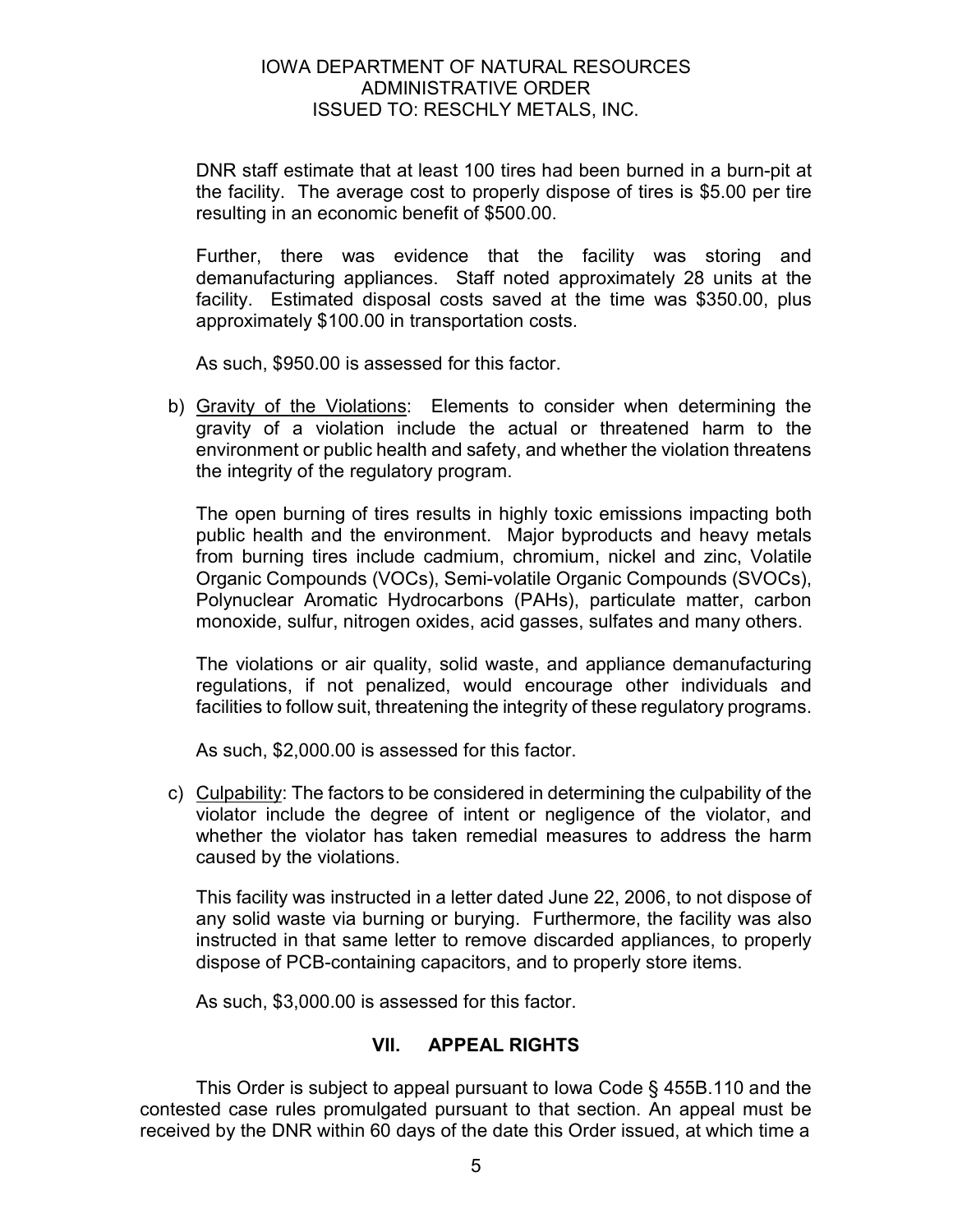DNR staff estimate that at least 100 tires had been burned in a burn-pit at the facility. The average cost to properly dispose of tires is \$5.00 per tire resulting in an economic benefit of \$500.00.

Further, there was evidence that the facility was storing and demanufacturing appliances. Staff noted approximately 28 units at the facility. Estimated disposal costs saved at the time was \$350.00, plus approximately \$100.00 in transportation costs.

As such, \$950.00 is assessed for this factor.

b) Gravity of the Violations: Elements to consider when determining the gravity of a violation include the actual or threatened harm to the environment or public health and safety, and whether the violation threatens the integrity of the regulatory program.

The open burning of tires results in highly toxic emissions impacting both public health and the environment. Major byproducts and heavy metals from burning tires include cadmium, chromium, nickel and zinc, Volatile Organic Compounds (VOCs), Semi-volatile Organic Compounds (SVOCs), Polynuclear Aromatic Hydrocarbons (PAHs), particulate matter, carbon monoxide, sulfur, nitrogen oxides, acid gasses, sulfates and many others.

The violations or air quality, solid waste, and appliance demanufacturing regulations, if not penalized, would encourage other individuals and facilities to follow suit, threatening the integrity of these regulatory programs.

As such, \$2,000.00 is assessed for this factor.

c) Culpability: The factors to be considered in determining the culpability of the violator include the degree of intent or negligence of the violator, and whether the violator has taken remedial measures to address the harm caused by the violations.

This facility was instructed in a letter dated June 22, 2006, to not dispose of any solid waste via burning or burying. Furthermore, the facility was also instructed in that same letter to remove discarded appliances, to properly dispose of PCB-containing capacitors, and to properly store items.

As such, \$3,000.00 is assessed for this factor.

## VII. APPEAL RIGHTS

 This Order is subject to appeal pursuant to Iowa Code § 455B.110 and the contested case rules promulgated pursuant to that section. An appeal must be received by the DNR within 60 days of the date this Order issued, at which time a